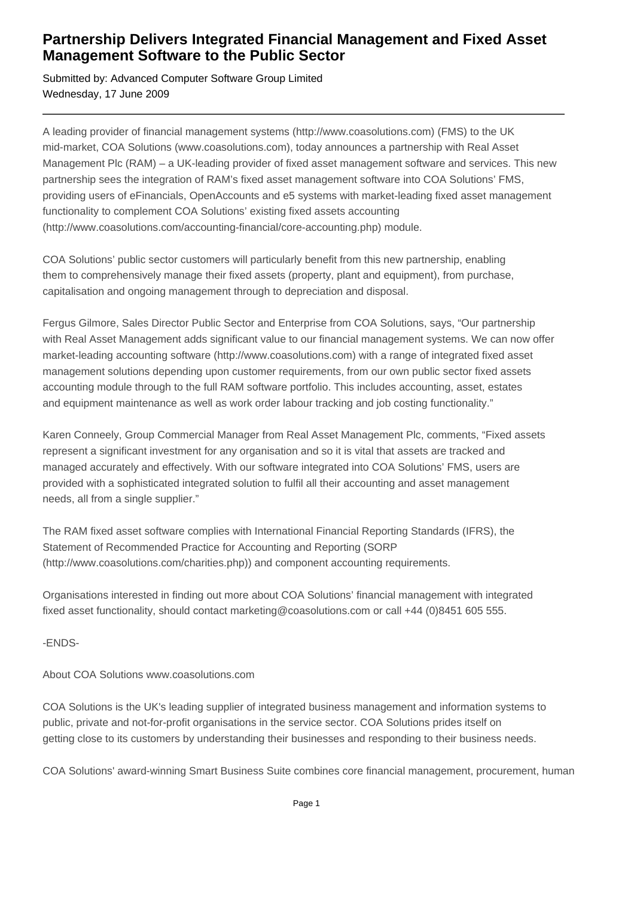## **Partnership Delivers Integrated Financial Management and Fixed Asset Management Software to the Public Sector**

Submitted by: Advanced Computer Software Group Limited Wednesday, 17 June 2009

A leading provider of financial management systems (http://www.coasolutions.com) (FMS) to the UK mid-market, COA Solutions (www.coasolutions.com), today announces a partnership with Real Asset Management Plc (RAM) – a UK-leading provider of fixed asset management software and services. This new partnership sees the integration of RAM's fixed asset management software into COA Solutions' FMS, providing users of eFinancials, OpenAccounts and e5 systems with market-leading fixed asset management functionality to complement COA Solutions' existing fixed assets accounting (http://www.coasolutions.com/accounting-financial/core-accounting.php) module.

COA Solutions' public sector customers will particularly benefit from this new partnership, enabling them to comprehensively manage their fixed assets (property, plant and equipment), from purchase, capitalisation and ongoing management through to depreciation and disposal.

Fergus Gilmore, Sales Director Public Sector and Enterprise from COA Solutions, says, "Our partnership with Real Asset Management adds significant value to our financial management systems. We can now offer market-leading accounting software (http://www.coasolutions.com) with a range of integrated fixed asset management solutions depending upon customer requirements, from our own public sector fixed assets accounting module through to the full RAM software portfolio. This includes accounting, asset, estates and equipment maintenance as well as work order labour tracking and job costing functionality."

Karen Conneely, Group Commercial Manager from Real Asset Management Plc, comments, "Fixed assets represent a significant investment for any organisation and so it is vital that assets are tracked and managed accurately and effectively. With our software integrated into COA Solutions' FMS, users are provided with a sophisticated integrated solution to fulfil all their accounting and asset management needs, all from a single supplier."

The RAM fixed asset software complies with International Financial Reporting Standards (IFRS), the Statement of Recommended Practice for Accounting and Reporting (SORP (http://www.coasolutions.com/charities.php)) and component accounting requirements.

Organisations interested in finding out more about COA Solutions' financial management with integrated fixed asset functionality, should contact marketing@coasolutions.com or call +44 (0)8451 605 555.

-ENDS-

About COA Solutions www.coasolutions.com

COA Solutions is the UK's leading supplier of integrated business management and information systems to public, private and not-for-profit organisations in the service sector. COA Solutions prides itself on getting close to its customers by understanding their businesses and responding to their business needs.

COA Solutions' award-winning Smart Business Suite combines core financial management, procurement, human